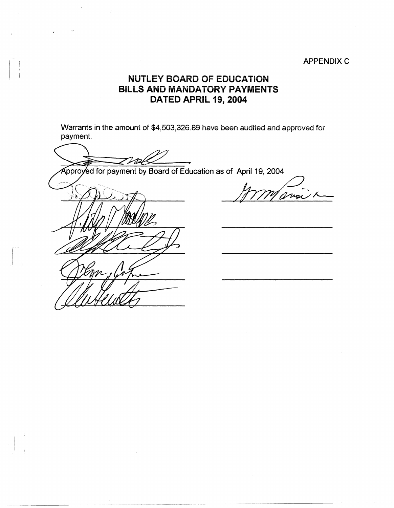## APPENDiX C

## **NUTLEY BOARD OF EDUCATION BiLLS AND MANDATORY PAYMENTS DATED APRIL 19, 2004**

Warrants in the amount of \$4,503,326.89 have been audited and approved for payment.

Approyed for payment by Board of Education as of April 19, 2004

- -~-~-~~-~----- - ---~-----~--- - --- ------- -----~----

I I

-----------------------

anor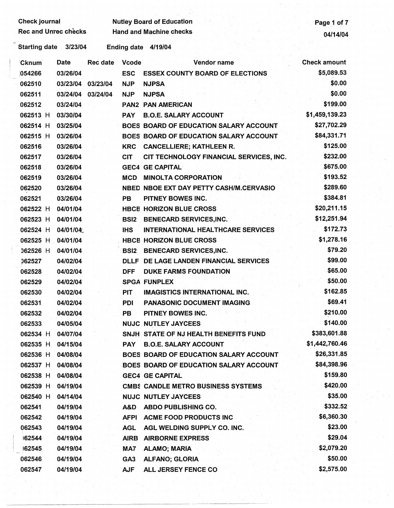| <b>Check journal</b>        |                   |          |                    | <b>Nutley Board of Education</b>          | Page 1 of 7         |
|-----------------------------|-------------------|----------|--------------------|-------------------------------------------|---------------------|
| <b>Rec and Unrec checks</b> |                   |          |                    | <b>Hand and Machine checks</b>            | 04/14/04            |
| <b>Starting date</b>        | 3/23/04           |          | <b>Ending date</b> | 4/19/04                                   |                     |
| Cknum                       | <b>Date</b>       | Rec date | <b>Vcode</b>       | Vendor name                               | <b>Check amount</b> |
| 054266                      | 03/26/04          |          | <b>ESC</b>         | <b>ESSEX COUNTY BOARD OF ELECTIONS</b>    | \$5,089.53          |
| 062510                      | 03/23/04 03/23/04 |          | <b>NJP</b>         | <b>NJPSA</b>                              | \$0.00              |
| 062511                      | 03/24/04          | 03/24/04 | <b>NJP</b>         | <b>NJPSA</b>                              | \$0.00              |
| 062512                      | 03/24/04          |          |                    | <b>PAN2 PAN AMERICAN</b>                  | \$199.00            |
| 062513 H                    | 03/30/04          |          | <b>PAY</b>         | <b>B.O.E. SALARY ACCOUNT</b>              | \$1,459,139.23      |
| 062514 H                    | 03/25/04          |          |                    | BOES BOARD OF EDUCATION SALARY ACCOUNT    | \$27,702.29         |
| 062515 H                    | 03/26/04          |          |                    | BOES BOARD OF EDUCATION SALARY ACCOUNT    | \$84,331.71         |
| 062516                      | 03/26/04          |          | <b>KRC</b>         | <b>CANCELLIERE; KATHLEEN R.</b>           | \$125.00            |
| 062517                      | 03/26/04          |          | <b>CIT</b>         | CIT TECHNOLOGY FINANCIAL SERVICES, INC.   | \$232.00            |
| 062518                      | 03/26/04          |          |                    | <b>GEC4 GE CAPITAL</b>                    | \$675.00            |
| 062519                      | 03/26/04          |          | <b>MCD</b>         | <b>MINOLTA CORPORATION</b>                | \$193.52            |
| 062520                      | 03/26/04          |          |                    | NBED NBOE EXT DAY PETTY CASH/M.CERVASIO   | \$289.60            |
| 062521                      | 03/26/04          |          | PB.                | PITNEY BOWES INC.                         | \$384.81            |
| 062522 H                    | 04/01/04          |          |                    | <b>HBCE HORIZON BLUE CROSS</b>            | \$20,211.15         |
| 062523 H                    | 04/01/04          |          | <b>BSI2</b>        | <b>BENECARD SERVICES, INC.</b>            | \$12,251.94         |
| 062524 H                    | 04/01/04          |          | <b>IHS</b>         | <b>INTERNATIONAL HEALTHCARE SERVICES</b>  | \$172.73            |
| 062525 H                    | 04/01/04          |          |                    | <b>HBCE HORIZON BLUE CROSS</b>            | \$1,278.16          |
| 062526 H                    | 04/01/04          |          | <b>BSI2</b>        | <b>BENECARD SERVICES, INC.</b>            | \$79.20             |
| 062527                      | 04/02/04          |          | <b>DLLF</b>        | DE LAGE LANDEN FINANCIAL SERVICES         | \$99.00             |
| 062528                      | 04/02/04          |          | <b>DFF</b>         | <b>DUKE FARMS FOUNDATION</b>              | \$65.00             |
| 062529                      | 04/02/04          |          |                    | <b>SPGA FUNPLEX</b>                       | \$50.00             |
| 062530                      | 04/02/04          |          | <b>PIT</b>         | <b>IMAGISTICS INTERNATIONAL INC.</b>      | \$162.85            |
| 062531                      | 04/02/04          |          | <b>PDI</b>         | PANASONIC DOCUMENT IMAGING                | \$69.41             |
| 062532                      | 04/02/04          |          | PB                 | PITNEY BOWES INC.                         | \$210.00            |
| 062533                      | 04/05/04          |          |                    | <b>NUJC NUTLEY JAYCEES</b>                | \$140.00            |
| 062534 H                    | 04/07/04          |          |                    | SNJH STATE OF NJ HEALTH BENEFITS FUND     | \$383,601.88        |
| 062535 H                    | 04/15/04          |          | <b>PAY</b>         | <b>B.O.E. SALARY ACCOUNT</b>              | \$1,442,760.46      |
| 062536 H                    | 04/08/04          |          |                    | BOES BOARD OF EDUCATION SALARY ACCOUNT    | \$26,331.85         |
| 062537 H                    | 04/08/04          |          |                    | BOES BOARD OF EDUCATION SALARY ACCOUNT    | \$84,398.96         |
| 062538 H                    | 04/08/04          |          |                    | <b>GEC4 GE CAPITAL</b>                    | \$159.80            |
| 062539 H                    | 04/19/04          |          |                    | <b>CMBS CANDLE METRO BUSINESS SYSTEMS</b> | \$420.00            |
| 062540 H                    | 04/14/04          |          |                    | <b>NUJC NUTLEY JAYCEES</b>                | \$35.00             |
| 062541                      | 04/19/04          |          | A&D                | <b>ABDO PUBLISHING CO.</b>                | \$332.52            |
| 062542                      | 04/19/04          |          | <b>AFPI</b>        | ACME FOOD PRODUCTS INC                    | \$6,360.30          |
| 062543                      | 04/19/04          |          | AGL                | AGL WELDING SUPPLY CO. INC.               | \$23.00             |
| 162544                      | 04/19/04          |          | <b>AIRB</b>        | <b>AIRBORNE EXPRESS</b>                   | \$29.04             |
| <b>62545</b>                | 04/19/04          |          | MA7                | <b>ALAMO; MARIA</b>                       | \$2,079.20          |
| 062546                      | 04/19/04          |          | GA <sub>3</sub>    | ALFANO; GLORIA                            | \$50.00             |
| 062547                      | 04/19/04          |          | <b>AJF</b>         | ALL JERSEY FENCE CO                       | \$2,575.00          |

','\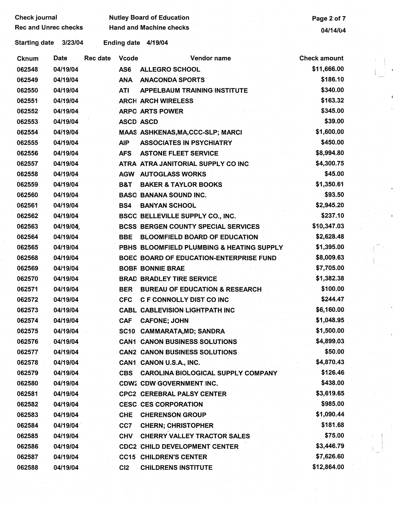| Check journal |                             |          |             | <b>Nutley Board of Education</b>           | Page 2 of 7         |
|---------------|-----------------------------|----------|-------------|--------------------------------------------|---------------------|
|               | <b>Rec and Unrec checks</b> |          |             | <b>Hand and Machine checks</b>             | 04/14/04            |
|               | Starting date 3/23/04       |          |             | Ending date 4/19/04                        |                     |
| <b>Cknum</b>  | <b>Date</b>                 | Rec date | Vcode       | Vendor name                                | <b>Check amount</b> |
| 062548        | 04/19/04                    |          | AS6         | <b>ALLEGRO SCHOOL</b>                      | \$11,666.00         |
| 062549        | 04/19/04                    |          | <b>ANA</b>  | <b>ANACONDA SPORTS</b>                     | \$186.10            |
| 062550        | 04/19/04                    |          | <b>ATI</b>  | <b>APPELBAUM TRAINING INSTITUTE</b>        | \$340.00            |
| 062551        | 04/19/04                    |          |             | <b>ARCH ARCH WIRELESS</b>                  | \$163.32            |
| 062552        | 04/19/04                    |          |             | <b>ARPO ARTS POWER</b>                     | \$345.00            |
| 062553        | 04/19/04                    |          |             | <b>ASCD ASCD</b>                           | \$39.00             |
| 062554        | 04/19/04                    |          |             | MAAS ASHKENAS, MA, CCC-SLP; MARCI          | \$1,600.00          |
| 062555        | 04/19/04                    |          | <b>AIP</b>  | <b>ASSOCIATES IN PSYCHIATRY</b>            | \$450.00            |
| 062556        | 04/19/04                    |          | <b>AFS</b>  | <b>ASTONE FLEET SERVICE</b>                | \$8,994.80          |
| 062557        | 04/19/04                    |          |             | ATRA ATRA JANITORIAL SUPPLY CO INC         | \$4,300.75          |
| 062558        | 04/19/04                    |          | <b>AGW</b>  | <b>AUTOGLASS WORKS</b>                     | \$45.00             |
| 062559        | 04/19/04                    |          | B&T         | <b>BAKER &amp; TAYLOR BOOKS</b>            | \$1,350.61          |
| 062560        | 04/19/04                    |          |             | <b>BASO BANANA SOUND INC.</b>              | \$93.50             |
| 062561        | 04/19/04                    |          | BS4         | <b>BANYAN SCHOOL</b>                       | \$2,945.20          |
| 062562        | 04/19/04                    |          |             | BSCC BELLEVILLE SUPPLY CO., INC.           | \$237.10            |
| 062563        | 04/19/04                    |          |             | <b>BCSS BERGEN COUNTY SPECIAL SERVICES</b> | \$10,347.03         |
| 062564        | 04/19/04                    |          | <b>BBE</b>  | <b>BLOOMFIELD BOARD OF EDUCATION</b>       | \$2,628.48          |
| 062565        | 04/19/04                    |          |             | PBHS BLOOMFIELD PLUMBING & HEATING SUPPLY  | \$1,395.00          |
| 062568        | 04/19/04                    |          |             | BOEC BOARD OF EDUCATION-ENTERPRISE FUND    | \$8,009.63          |
| 062569        | 04/19/04                    |          |             | <b>BOBF BONNIE BRAE</b>                    | \$7,705.00          |
| 062570        | 04/19/04                    |          |             | <b>BRAD BRADLEY TIRE SERVICE</b>           | \$1,382.38          |
| 062571        | 04/19/04                    |          | <b>BER</b>  | <b>BUREAU OF EDUCATION &amp; RESEARCH</b>  | \$100.00            |
| 062572        | 04/19/04                    |          | <b>CFC</b>  | <b>C F CONNOLLY DIST CO INC</b>            | \$244.47            |
| 062573        | 04/19/04                    |          |             | <b>CABL CABLEVISION LIGHTPATH INC</b>      | \$6,160.00          |
| 062574        | 04/19/04                    |          | <b>CAF</b>  | <b>CAFONE; JOHN</b>                        | \$1,048.95          |
| 062575        | 04/19/04                    |          | <b>SC10</b> | <b>CAMMARATA, MD; SANDRA</b>               | \$1,500.00          |
| 062576        | 04/19/04                    |          |             | <b>CAN1 CANON BUSINESS SOLUTIONS</b>       | \$4,899.03          |
| 062577        | 04/19/04                    |          |             | <b>CAN2 CANON BUSINESS SOLUTIONS</b>       | \$50.00             |
| 062578        | 04/19/04                    |          |             | CAN1 CANON U.S.A., INC.                    | \$4,870.43          |
| 062579        | 04/19/04                    |          | <b>CBS</b>  | <b>CAROLINA BIOLOGICAL SUPPLY COMPANY</b>  | \$126.46            |
| 062580        | 04/19/04                    |          |             | <b>CDW2 CDW GOVERNMENT INC.</b>            | \$438.00            |
| 062581        | 04/19/04                    |          |             | CPC2 CEREBRAL PALSY CENTER                 | \$3,619.65          |
| 062582        | 04/19/04                    |          |             | <b>CESC CES CORPORATION</b>                | \$985.00            |
| 062583        | 04/19/04                    |          | <b>CHE</b>  | <b>CHERENSON GROUP</b>                     | \$1,090.44          |
| 062584        | 04/19/04                    |          | CC7         | <b>CHERN; CHRISTOPHER</b>                  | \$181.68            |
| 062585        | 04/19/04                    |          | <b>CHV</b>  | <b>CHERRY VALLEY TRACTOR SALES</b>         | \$75.00             |
| 062586        | 04/19/04                    |          |             | <b>CDC2 CHILD DEVELOPMENT CENTER</b>       | \$3,446.79          |
| 062587        | 04/19/04                    |          |             | <b>CC15 CHILDREN'S CENTER</b>              | \$7,626.60          |
| 062588        | 04/19/04                    |          | C12         | <b>CHILDRENS INSTITUTE</b>                 | \$12,864.00         |
|               |                             |          |             |                                            |                     |
|               |                             |          |             |                                            |                     |
|               |                             |          |             |                                            |                     |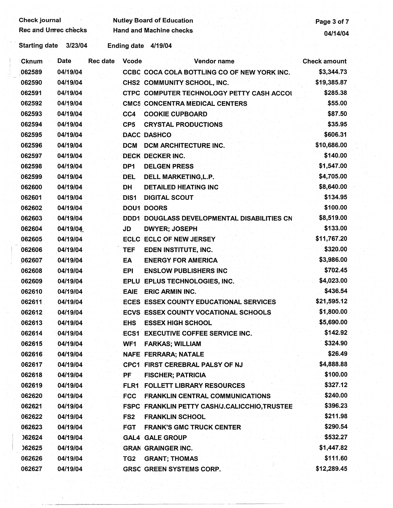## Check journal **Nutley Board of Education** Page 3 of 7<br>Rec and Unrec checks Hand and Machine checks **Page 3 of 7**

Starting date 3/23/04 Ending date 4/19/04

| Cknum         | Date     | Rec date<br>Vcode | Vendor name                                   | <b>Check amount</b> |
|---------------|----------|-------------------|-----------------------------------------------|---------------------|
| 062589        | 04/19/04 |                   | CCBC COCA COLA BOTTLING CO OF NEW YORK INC.   | \$3,344.73          |
| 062590        | 04/19/04 |                   | CHS2 COMMUNITY SCHOOL, INC.                   | \$19,385.87         |
| 062591        | 04/19/04 |                   | CTPC COMPUTER TECHNOLOGY PETTY CASH ACCOL     | \$285.38            |
| 062592        | 04/19/04 |                   | <b>CMC5 CONCENTRA MEDICAL CENTERS</b>         | \$55.00             |
| 062593        | 04/19/04 | CC4               | <b>COOKIE CUPBOARD</b>                        | \$87.50             |
| 062594        | 04/19/04 | CP <sub>5</sub>   | <b>CRYSTAL PRODUCTIONS</b>                    | \$35.95             |
| 062595        | 04/19/04 |                   | <b>DACC DASHCO</b>                            | \$606.31            |
| 062596        | 04/19/04 | <b>DCM</b>        | DCM ARCHITECTURE INC.                         | \$10,686.00         |
| 062597        | 04/19/04 |                   | DECK DECKER INC.                              | \$140.00            |
| 062598        | 04/19/04 | DP <sub>1</sub>   | <b>DELGEN PRESS</b>                           | \$1,547.00          |
| 062599        | 04/19/04 | <b>DEL</b>        | DELL MARKETING, L.P.                          | \$4,705.00          |
| 062600        | 04/19/04 | DH                | <b>DETAILED HEATING INC</b>                   | \$8,640.00          |
| 062601        | 04/19/04 | DIS <sub>1</sub>  | <b>DIGITAL SCOUT</b>                          | \$134.95            |
| 062602        | 04/19/04 |                   | DOU1 DOORS                                    | \$100.00            |
| 062603        | 04/19/04 |                   | DDD1 DOUGLASS DEVELOPMENTAL DISABILITIES CN   | \$8,519.00          |
| 062604        | 04/19/04 | JD                | <b>DWYER; JOSEPH</b>                          | \$133.00            |
| 062605        | 04/19/04 |                   | <b>ECLC ECLC OF NEW JERSEY</b>                | \$11,767.20         |
| 062606        | 04/19/04 | <b>TEF</b>        | EDEN INSTITUTE, INC.                          | \$320.00            |
| 062607        | 04/19/04 | EA                | <b>ENERGY FOR AMERICA</b>                     | \$3,986.00          |
| 062608        | 04/19/04 | <b>EPI</b>        | <b>ENSLOW PUBLISHERS INC</b>                  | \$702.45            |
| 062609        | 04/19/04 |                   | EPLU EPLUS TECHNOLOGIES, INC.                 | \$4,023.00          |
| 062610        | 04/19/04 | <b>EAIE</b>       | <b>ERIC ARMIN INC.</b>                        | \$436.54            |
| 062611        | 04/19/04 |                   | <b>ECES ESSEX COUNTY EDUCATIONAL SERVICES</b> | \$21,595.12         |
| 062612        | 04/19/04 |                   | ECVS ESSEX COUNTY VOCATIONAL SCHOOLS          | \$1,800.00          |
| 062613        | 04/19/04 | <b>EHS</b>        | <b>ESSEX HIGH SCHOOL</b>                      | \$5,690.00          |
| 062614        | 04/19/04 |                   | <b>ECS1 EXECUTIVE COFFEE SERVICE INC.</b>     | \$142.92            |
| 062615        | 04/19/04 | WF1               | <b>FARKAS; WILLIAM</b>                        | \$324.90            |
| 062616        | 04/19/04 |                   | NAFE FERRARA; NATALE                          | \$26.49             |
| 062617        | 04/19/04 |                   | CPC1 FIRST CEREBRAL PALSY OF NJ               | \$4,888.88          |
| 062618        | 04/19/04 | PF                | <b>FISCHER; PATRICIA</b>                      | \$100.00            |
| 062619        | 04/19/04 | FLR1              | <b>FOLLETT LIBRARY RESOURCES</b>              | \$327.12            |
| 062620        | 04/19/04 | FCC.              | <b>FRANKLIN CENTRAL COMMUNICATIONS</b>        | \$240.00            |
| 062621        | 04/19/04 |                   | FSPC FRANKLIN PETTY CASH/J.CALICCHIO,TRUSTEE  | \$396.23            |
| 062622        | 04/19/04 | FS2               | <b>FRANKLIN SCHOOL</b>                        | \$211.98            |
| 062623        | 04/19/04 | FGT               | <b>FRANK'S GMC TRUCK CENTER</b>               | \$290.54            |
| 062624        | 04/19/04 |                   | <b>GAL4 GALE GROUP</b>                        | \$532.27            |
| <b>J62625</b> | 04/19/04 |                   | <b>GRAN GRAINGER INC.</b>                     | \$1,447.82          |
| 062626        | 04/19/04 | TG <sub>2</sub>   | <b>GRANT; THOMAS</b>                          | \$111.60            |
| 062627        | 04/19/04 |                   | <b>GRSC GREEN SYSTEMS CORP.</b>               | \$12,289.45         |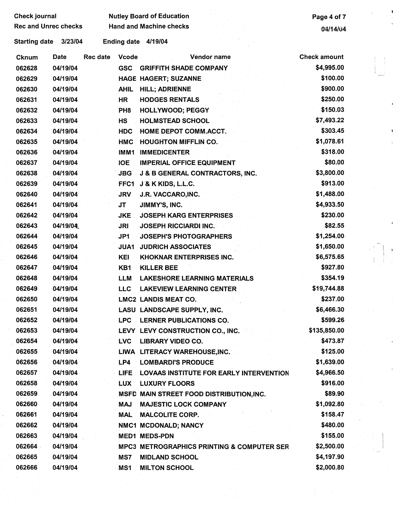| <b>Rec and Unrec checks</b> |          |                 |                 | <b>Hand and Machine checks</b>                        | 04/14/04            |
|-----------------------------|----------|-----------------|-----------------|-------------------------------------------------------|---------------------|
| <b>Starting date</b>        | 3/23/04  |                 |                 | Ending date 4/19/04                                   |                     |
| <b>Cknum</b>                | Date     | <b>Rec date</b> | <b>Vcode</b>    | Vendor name                                           | <b>Check amount</b> |
| 062628                      | 04/19/04 |                 | <b>GSC</b>      | <b>GRIFFITH SHADE COMPANY</b>                         | \$4,995.00          |
| 062629                      | 04/19/04 |                 |                 | <b>HAGE HAGERT; SUZANNE</b>                           | \$100.00            |
| 062630                      | 04/19/04 |                 | <b>AHIL</b>     | HILL; ADRIENNE                                        | \$900.00            |
| 062631                      | 04/19/04 |                 | <b>HR</b>       | <b>HODGES RENTALS</b>                                 | \$250.00            |
| 062632                      | 04/19/04 |                 | PH <sub>8</sub> | <b>HOLLYWOOD; PEGGY</b>                               | \$150.03            |
| 062633                      | 04/19/04 |                 | <b>HS</b>       | <b>HOLMSTEAD SCHOOL</b>                               | \$7,493.22          |
| 062634                      | 04/19/04 |                 | <b>HDC</b>      | <b>HOME DEPOT COMM.ACCT.</b>                          | \$303.45            |
| 062635                      | 04/19/04 |                 | <b>HMC</b>      | <b>HOUGHTON MIFFLIN CO.</b>                           | \$1,078.61          |
| 062636                      | 04/19/04 |                 | IMM1            | <b>IMMEDICENTER</b>                                   | \$318.00            |
| 062637                      | 04/19/04 |                 | <b>IOE</b>      | <b>IMPERIAL OFFICE EQUIPMENT</b>                      | \$80.00             |
| 062638                      | 04/19/04 |                 | <b>JBG</b>      | <b>J &amp; B GENERAL CONTRACTORS, INC.</b>            | \$3,800.00          |
| 062639                      | 04/19/04 |                 | FFC1            | J & K KIDS, L.L.C.                                    | \$913.00            |
| 062640                      | 04/19/04 |                 | <b>JRV</b>      | J.R. VACCARO, INC.                                    | \$1,488.00          |
| 062641                      | 04/19/04 |                 | <b>JT</b>       | JIMMY'S, INC.                                         | \$4,933.50          |
| 062642                      | 04/19/04 |                 | <b>JKE</b>      | <b>JOSEPH KARG ENTERPRISES</b>                        | \$230.00            |
| 062643                      | 04/19/04 |                 | <b>JRI</b>      | <b>JOSEPH RICCIARDI INC.</b>                          | \$82.55             |
| 062644                      | 04/19/04 |                 | JP1             | <b>JOSEPH'S PHOTOGRAPHERS</b>                         | \$1,254.00          |
| 062645                      | 04/19/04 |                 | <b>JUA1</b>     | <b>JUDRICH ASSOCIATES</b>                             | \$1,650.00          |
| 062646                      | 04/19/04 |                 | <b>KEI</b>      | <b>KHOKNAR ENTERPRISES INC.</b>                       | \$6,575.65          |
| 062647                      | 04/19/04 |                 | KB1             | <b>KILLER BEE</b>                                     | \$927.80            |
| 062648                      | 04/19/04 |                 | <b>LLM</b>      | <b>LAKESHORE LEARNING MATERIALS</b>                   | \$354.19            |
| 062649                      | 04/19/04 |                 | <b>LLC</b>      | <b>LAKEVIEW LEARNING CENTER</b>                       | \$19,744.88         |
| 062650                      | 04/19/04 |                 |                 | LMC2 LANDIS MEAT CO.                                  | \$237.00            |
| 062651                      | 04/19/04 |                 |                 | LASU LANDSCAPE SUPPLY, INC.                           | \$6,466.30          |
| 062652                      | 04/19/04 |                 | <b>LPC</b>      | <b>LERNER PUBLICATIONS CO.</b>                        | \$599.26            |
| 062653                      | 04/19/04 |                 |                 | LEVY LEVY CONSTRUCTION CO., INC.                      | \$135,850.00        |
| 062654                      | 04/19/04 |                 | <b>LVC</b>      | <b>LIBRARY VIDEO CO.</b>                              | \$473.87            |
| 062655                      | 04/19/04 |                 |                 | LIWA LITERACY WAREHOUSE, INC.                         | \$125.00            |
| 062656                      | 04/19/04 |                 | LP4             | <b>LOMBARDI'S PRODUCE</b>                             | \$1,639.00          |
| 062657                      | 04/19/04 |                 | <b>LIFE</b>     | LOVAAS INSTITUTE FOR EARLY INTERVENTION               | \$4,966.50          |
| 062658                      | 04/19/04 |                 | <b>LUX</b>      | <b>LUXURY FLOORS</b>                                  | \$916.00            |
| 062659                      | 04/19/04 |                 |                 | MSFD MAIN STREET FOOD DISTRIBUTION, INC.              | \$89.90             |
| 062660                      | 04/19/04 |                 | <b>MAJ</b>      | <b>MAJESTIC LOCK COMPANY</b>                          | \$1,092.80          |
| 062661                      | 04/19/04 |                 | <b>MAL</b>      | <b>MALCOLITE CORP.</b>                                | \$158.47            |
| 062662                      | 04/19/04 |                 |                 | NMC1 MCDONALD; NANCY                                  | \$480.00            |
| 062663                      | 04/19/04 |                 |                 | <b>MED1 MEDS-PDN</b>                                  | \$155.00            |
| 062664                      | 04/19/04 |                 |                 | <b>MPC3 METROGRAPHICS PRINTING &amp; COMPUTER SER</b> | \$2,500.00          |
| 062665                      | 04/19/04 |                 | MS7             | <b>MIDLAND SCHOOL</b>                                 | \$4,197.90          |
| 062666                      | 04/19/04 |                 | MS1             | <b>MILTON SCHOOL</b>                                  | \$2,000.80          |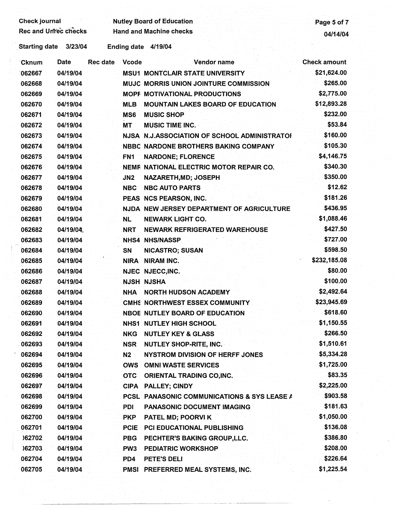|                      | <b>Rec and Unrec checks</b> |          |                 | <b>Hand and Machine checks</b>               | Page 5 of 7<br>04/14/04 |
|----------------------|-----------------------------|----------|-----------------|----------------------------------------------|-------------------------|
| <b>Starting date</b> | 3/23/04                     |          |                 | Ending date 4/19/04                          |                         |
| Cknum                | <b>Date</b>                 | Rec date | <b>Vcode</b>    | Vendor name                                  | <b>Check amount</b>     |
| 062667               | 04/19/04                    |          |                 | <b>MSU1 MONTCLAIR STATE UNIVERSITY</b>       | \$21,624.00             |
| 062668               | 04/19/04                    |          |                 | <b>MUJC MORRIS UNION JOINTURE COMMISSION</b> | \$265.00                |
| 062669               | 04/19/04                    |          |                 | <b>MOPF MOTIVATIONAL PRODUCTIONS</b>         | \$2,775.00              |
| 062670               | 04/19/04                    |          | <b>MLB</b>      | <b>MOUNTAIN LAKES BOARD OF EDUCATION</b>     | \$12,893.28             |
| 062671               | 04/19/04                    |          | MS <sub>6</sub> | <b>MUSIC SHOP</b>                            | \$232.00                |
| 062672               | 04/19/04                    |          | <b>MT</b>       | <b>MUSIC TIME INC.</b>                       | \$53.84                 |
| 062673               | 04/19/04                    |          |                 | NJSA N.J.ASSOCIATION OF SCHOOL ADMINISTRATOR | \$160.00                |
| 062674               | 04/19/04                    |          |                 | <b>NBBC NARDONE BROTHERS BAKING COMPANY</b>  | \$105.30                |
| 062675               | 04/19/04                    |          | FN <sub>1</sub> | <b>NARDONE; FLORENCE</b>                     | \$4,146.75              |
| 062676               | 04/19/04                    |          |                 | NEMF NATIONAL ELECTRIC MOTOR REPAIR CO.      | \$340.30                |
| 062677               | 04/19/04                    |          | J <sub>N2</sub> | NAZARETH, MD; JOSEPH                         | \$350.00                |
| 062678               | 04/19/04                    |          | <b>NBC</b>      | <b>NBC AUTO PARTS</b>                        | \$12.62                 |
| 062679               | 04/19/04                    |          |                 | PEAS NCS PEARSON, INC.                       | \$181.26                |
| 062680               | 04/19/04                    |          |                 | NJDA NEW JERSEY DEPARTMENT OF AGRICULTURE    | \$436.95                |
| 062681               | 04/19/04                    |          | <b>NL</b>       | <b>NEWARK LIGHT CO.</b>                      | \$1,088.46              |
| 062682               | 04/19/04                    |          | <b>NRT</b>      | <b>NEWARK REFRIGERATED WAREHOUSE</b>         | \$427.50                |
| 062683               | 04/19/04                    |          |                 | <b>NHS4 NHS/NASSP</b>                        | \$727.00                |
| 062684               | 04/19/04                    |          | SN              | <b>NICASTRO; SUSAN</b>                       | \$598.50                |
| 062685               | 04/19/04                    |          | NIRA            | NIRAM INC.                                   | \$232,185.08            |
| 062686               | 04/19/04                    |          |                 | NJEC NJECC, INC.                             | \$80.00                 |
| 062687               | 04/19/04                    |          |                 | <b>NJSH NJSHA</b>                            | \$100.00                |
| 062688               | 04/19/04                    |          | <b>NHA</b>      | <b>NORTH HUDSON ACADEMY</b>                  | \$2,492.64              |
| 062689               | 04/19/04                    |          |                 | CMHS NORTHWEST ESSEX COMMUNITY               | \$23,945.69             |
| 062690               | 04/19/04                    |          |                 | <b>NBOE NUTLEY BOARD OF EDUCATION</b>        | \$618.60                |
| 062691               | 04/19/04                    |          |                 | <b>NHS1 NUTLEY HIGH SCHOOL</b>               | \$1,150.55              |
| 062692               | 04/19/04                    |          | <b>NKG</b>      | <b>NUTLEY KEY &amp; GLASS</b>                | \$266.50                |
| 062693               | 04/19/04                    |          | <b>NSR</b>      | <b>NUTLEY SHOP-RITE, INC.</b>                | \$1,510.61              |
| 062694               | 04/19/04                    |          | N <sub>2</sub>  | <b>NYSTROM DIVISION OF HERFF JONES</b>       | \$5,334.28              |
| 062695               | 04/19/04                    |          | <b>OWS</b>      | <b>OMNI WASTE SERVICES</b>                   | \$1,725.00              |
| 062696               | 04/19/04                    |          | <b>OTC</b>      | <b>ORIENTAL TRADING CO, INC.</b>             | \$83.35                 |
| 062697               | 04/19/04                    |          |                 | CIPA PALLEY; CINDY                           | \$2,225.00              |
| 062698               | 04/19/04                    |          |                 | PCSL PANASONIC COMMUNICATIONS & SYS LEASE A  | \$903.58                |
| 062699               | 04/19/04                    |          | PDI             | <b>PANASONIC DOCUMENT IMAGING</b>            | \$181.63                |
| 062700               | 04/19/04                    |          | <b>PKP</b>      | PATEL MD; POORVI K                           | \$1,050.00              |
| 062701               | 04/19/04                    |          | <b>PCIE</b>     | PCI EDUCATIONAL PUBLISHING                   | \$136.08                |
| )62702               | 04/19/04                    |          | <b>PBG</b>      | PECHTER'S BAKING GROUP, LLC.                 | \$386.80                |
| 062703               | 04/19/04                    |          | PW <sub>3</sub> | <b>PEDIATRIC WORKSHOP</b>                    | \$208.00                |
| 062704               | 04/19/04                    |          | PD4             | PETE'S DELI                                  | \$226.64                |
|                      | 04/19/04                    |          |                 | PMSI PREFERRED MEAL SYSTEMS, INC.            | \$1,225.54              |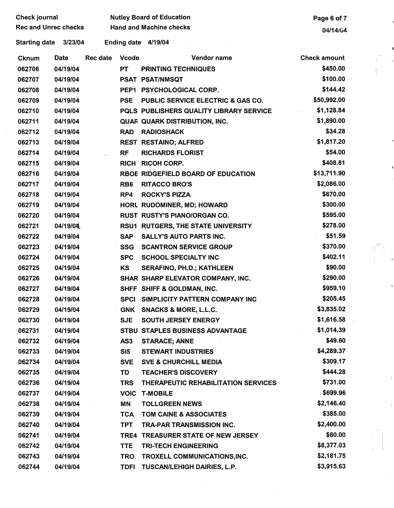| <b>Check journal</b>            | <b>Nutley Board of Education</b> | Page 6 of 7<br>04/14/64 |  |
|---------------------------------|----------------------------------|-------------------------|--|
| <b>Rec and Unrec checks</b>     | <b>Hand and Machine checks</b>   |                         |  |
| <b>Starting date</b><br>3/23/04 | Ending date 4/19/04              |                         |  |

| Cknum  | Date     | Rec date | <b>Vcode</b>    | Vendor name                                    | <b>Check amount</b> |  |
|--------|----------|----------|-----------------|------------------------------------------------|---------------------|--|
| 062706 | 04/19/04 |          | <b>PT</b>       | <b>PRINTING TECHNIQUES</b>                     | \$450.00            |  |
| 062707 | 04/19/04 |          |                 | <b>PSAT PSAT/NMSQT</b>                         | \$100.00            |  |
| 062708 | 04/19/04 |          |                 | PEP1 PSYCHOLOGICAL CORP.                       | \$144.42            |  |
| 062709 | 04/19/04 |          | <b>PSE</b>      | <b>PUBLIC SERVICE ELECTRIC &amp; GAS CO.</b>   | \$50,992.00         |  |
| 062710 | 04/19/04 |          |                 | <b>PQLS PUBLISHERS QUALITY LIBRARY SERVICE</b> | \$1,128.84          |  |
| 062711 | 04/19/04 |          |                 | <b>QUAR QUARK DISTRIBUTION, INC.</b>           | \$1,890.00          |  |
| 062712 | 04/19/04 |          | <b>RAD</b>      | <b>RADIOSHACK</b>                              | \$34.28             |  |
| 062713 | 04/19/04 |          |                 | <b>REST RESTAINO; ALFRED</b>                   | \$1,817.20          |  |
| 062714 | 04/19/04 |          | <b>RF</b>       | <b>RICHARDS FLORIST</b>                        | \$54.00             |  |
| 062715 | 04/19/04 |          |                 | <b>RICH RICOH CORP.</b>                        | \$408.81            |  |
| 062716 | 04/19/04 |          |                 | RBOE RIDGEFIELD BOARD OF EDUCATION             | \$13,711.90         |  |
| 062717 | 04/19/04 |          | RB <sub>6</sub> | <b>RITACCO BRO'S</b>                           | \$2,086.00          |  |
| 062718 | 04/19/04 |          | RP4             | <b>ROCKY'S PIZZA</b>                           | \$670.00            |  |
| 062719 | 04/19/04 |          |                 | HORL RUDOMINER, MD; HOWARD                     | \$300.00            |  |
| 062720 | 04/19/04 |          |                 | RUST RUSTY'S PIANO/ORGAN CO.                   | \$595.00            |  |
| 062721 | 04/19/04 |          |                 | <b>RSU1 RUTGERS, THE STATE UNIVERSITY</b>      | \$278.00            |  |
| 062722 | 04/19/04 |          | <b>SAP</b>      | <b>SALLY'S AUTO PARTS INC.</b>                 | \$51.59             |  |
| 062723 | 04/19/04 |          | <b>SSG</b>      | <b>SCANTRON SERVICE GROUP</b>                  | \$370.00            |  |
| 062724 | 04/19/04 |          | <b>SPC</b>      | <b>SCHOOL SPECIALTY INC</b>                    | \$402.11            |  |
| 062725 | 04/19/04 |          | <b>KS</b>       | SERAFINO, PH.D.; KATHLEEN                      | \$90.00             |  |
| 062726 | 04/19/04 |          |                 | SHAR SHARP ELEVATOR COMPANY, INC.              | \$290.00            |  |
| 062727 | 04/19/04 |          |                 | SHFF SHIFF & GOLDMAN, INC.                     | \$959.10            |  |
| 062728 | 04/19/04 |          |                 | SPCI SIMPLICITY PATTERN COMPANY INC.           | \$205.45            |  |
| 062729 | 04/19/04 |          |                 | GNK SNACKS & MORE, L.L.C.                      | \$3,835.02          |  |
| 062730 | 04/19/04 |          | <b>SJE</b>      | <b>SOUTH JERSEY ENERGY</b>                     | \$1,616.58          |  |
| 062731 | 04/19/04 |          |                 | <b>STBU STAPLES BUSINESS ADVANTAGE</b>         | \$1,014.39          |  |
| 062732 | 04/19/04 |          | AS <sub>3</sub> | <b>STARACE; ANNE</b>                           | \$49.60             |  |
| 062733 | 04/19/04 |          | SI <sub>5</sub> | <b>STEWART INDUSTRIES</b>                      | \$4,289.37          |  |
| 062734 | 04/19/04 |          | <b>SVE</b>      | <b>SVE &amp; CHURCHILL MEDIA</b>               | \$309.17            |  |
| 062735 | 04/19/04 |          | TD              | <b>TEACHER'S DISCOVERY</b>                     | \$444.28            |  |
| 062736 | 04/19/04 |          | TRS             | THERAPEUTIC REHABILITATION SERVICES            | \$731.00            |  |
| 062737 | 04/19/04 |          | <b>VOIC</b>     | <b>T-MOBILE</b>                                | \$699.96            |  |
| 062738 | 04/19/04 |          | ΜN              | <b>TOLLGREEN NEWS</b>                          | \$2,146.40          |  |
| 062739 | 04/19/04 |          | TCA             | TOM CAINE & ASSOCIATES                         | \$385.00            |  |
| 062740 | 04/19/04 |          | TPT.            | <b>TRA-PAR TRANSMISSION INC.</b>               | \$2,400.00          |  |
| 062741 | 04/19/04 |          |                 | TRE4 TREASURER STATE OF NEW JERSEY             | \$80.00             |  |
| 062742 | 04/19/04 |          | <b>TTE</b>      | <b>TRI-TECH ENGINEERING</b>                    | \$8,377.03          |  |
| 062743 | 04/19/04 |          | <b>TRO</b>      | TROXELL COMMUNICATIONS, INC.                   | \$2,181.75          |  |
| 062744 | 04/19/04 |          | TDFI            | <b>TUSCAN/LEHIGH DAIRIES, L.P.</b>             | \$3,915.63          |  |